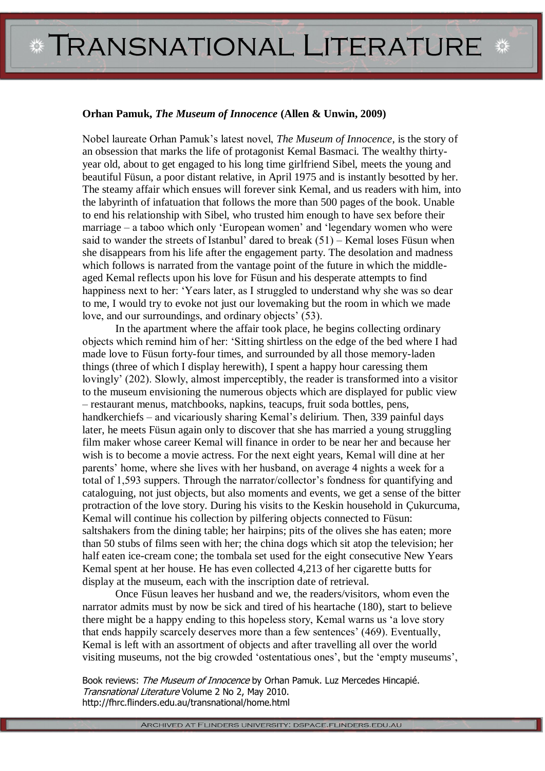## *\** **TRANSNATIONAL LITERATURE**

## **Orhan Pamuk,** *The Museum of Innocence* **(Allen & Unwin, 2009)**

Nobel laureate Orhan Pamuk"s latest novel, *The Museum of Innocence*, is the story of an obsession that marks the life of protagonist Kemal Basmaci. The wealthy thirtyyear old, about to get engaged to his long time girlfriend Sibel, meets the young and beautiful Füsun, a poor distant relative, in April 1975 and is instantly besotted by her. The steamy affair which ensues will forever sink Kemal, and us readers with him, into the labyrinth of infatuation that follows the more than 500 pages of the book. Unable to end his relationship with Sibel, who trusted him enough to have sex before their marriage – a taboo which only 'European women' and 'legendary women who were said to wander the streets of Istanbul' dared to break  $(51)$  – Kemal loses Füsun when she disappears from his life after the engagement party. The desolation and madness which follows is narrated from the vantage point of the future in which the middleaged Kemal reflects upon his love for Füsun and his desperate attempts to find happiness next to her: "Years later, as I struggled to understand why she was so dear to me, I would try to evoke not just our lovemaking but the room in which we made love, and our surroundings, and ordinary objects' (53).

In the apartment where the affair took place, he begins collecting ordinary objects which remind him of her: "Sitting shirtless on the edge of the bed where I had made love to Füsun forty-four times, and surrounded by all those memory-laden things (three of which I display herewith), I spent a happy hour caressing them lovingly' (202). Slowly, almost imperceptibly, the reader is transformed into a visitor to the museum envisioning the numerous objects which are displayed for public view – restaurant menus, matchbooks, napkins, teacups, fruit soda bottles, pens, handkerchiefs – and vicariously sharing Kemal's delirium. Then, 339 painful days later, he meets Füsun again only to discover that she has married a young struggling film maker whose career Kemal will finance in order to be near her and because her wish is to become a movie actress. For the next eight years, Kemal will dine at her parents" home, where she lives with her husband, on average 4 nights a week for a total of 1,593 suppers. Through the narrator/collector's fondness for quantifying and cataloguing, not just objects, but also moments and events, we get a sense of the bitter protraction of the love story. During his visits to the Keskin household in Çukurcuma, Kemal will continue his collection by pilfering objects connected to Füsun: saltshakers from the dining table; her hairpins; pits of the olives she has eaten; more than 50 stubs of films seen with her; the china dogs which sit atop the television; her half eaten ice-cream cone; the tombala set used for the eight consecutive New Years Kemal spent at her house. He has even collected 4,213 of her cigarette butts for display at the museum, each with the inscription date of retrieval.

Once Füsun leaves her husband and we, the readers/visitors, whom even the narrator admits must by now be sick and tired of his heartache (180), start to believe there might be a happy ending to this hopeless story, Kemal warns us "a love story that ends happily scarcely deserves more than a few sentences" (469). Eventually, Kemal is left with an assortment of objects and after travelling all over the world visiting museums, not the big crowded "ostentatious ones", but the "empty museums",

Book reviews: The Museum of Innocence by Orhan Pamuk. Luz Mercedes Hincapié. Transnational Literature Volume 2 No 2, May 2010. http://fhrc.flinders.edu.au/transnational/home.html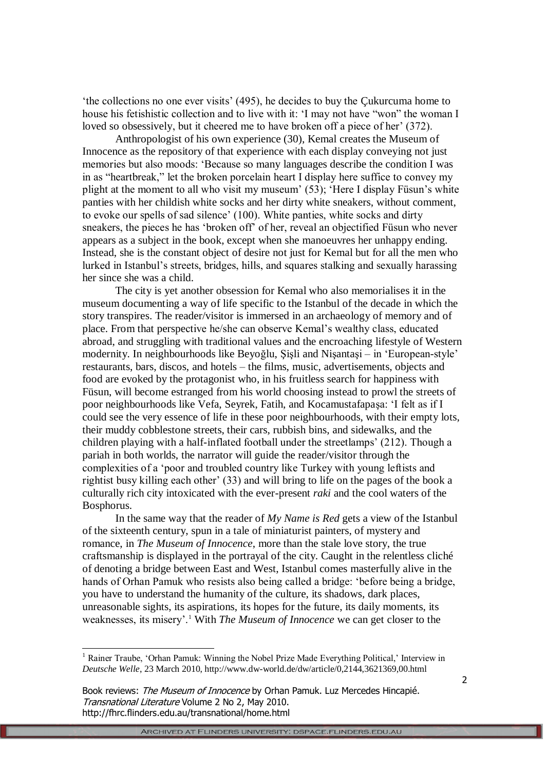"the collections no one ever visits" (495), he decides to buy the Çukurcuma home to house his fetishistic collection and to live with it: "I may not have "won" the woman I loved so obsessively, but it cheered me to have broken off a piece of her' (372).

Anthropologist of his own experience (30), Kemal creates the Museum of Innocence as the repository of that experience with each display conveying not just memories but also moods: "Because so many languages describe the condition I was in as "heartbreak," let the broken porcelain heart I display here suffice to convey my plight at the moment to all who visit my museum" (53); "Here I display Füsun"s white panties with her childish white socks and her dirty white sneakers, without comment, to evoke our spells of sad silence" (100). White panties, white socks and dirty sneakers, the pieces he has "broken off" of her, reveal an objectified Füsun who never appears as a subject in the book, except when she manoeuvres her unhappy ending. Instead, she is the constant object of desire not just for Kemal but for all the men who lurked in Istanbul"s streets, bridges, hills, and squares stalking and sexually harassing her since she was a child.

The city is yet another obsession for Kemal who also memorialises it in the museum documenting a way of life specific to the Istanbul of the decade in which the story transpires. The reader/visitor is immersed in an archaeology of memory and of place. From that perspective he/she can observe Kemal"s wealthy class, educated abroad, and struggling with traditional values and the encroaching lifestyle of Western modernity. In neighbourhoods like Beyoğlu, Şişli and Nişantaşi – in "European-style" restaurants, bars, discos, and hotels – the films, music, advertisements, objects and food are evoked by the protagonist who, in his fruitless search for happiness with Füsun, will become estranged from his world choosing instead to prowl the streets of poor neighbourhoods like Vefa, Seyrek, Fatih, and Kocamustafapaşa: "I felt as if I could see the very essence of life in these poor neighbourhoods, with their empty lots, their muddy cobblestone streets, their cars, rubbish bins, and sidewalks, and the children playing with a half-inflated football under the streetlamps' (212). Though a pariah in both worlds, the narrator will guide the reader/visitor through the complexities of a "poor and troubled country like Turkey with young leftists and rightist busy killing each other' (33) and will bring to life on the pages of the book a culturally rich city intoxicated with the ever-present *raki* and the cool waters of the Bosphorus.

In the same way that the reader of *My Name is Red* gets a view of the Istanbul of the sixteenth century, spun in a tale of miniaturist painters, of mystery and romance, in *The Museum of Innocence*, more than the stale love story, the true craftsmanship is displayed in the portrayal of the city. Caught in the relentless cliché of denoting a bridge between East and West, Istanbul comes masterfully alive in the hands of Orhan Pamuk who resists also being called a bridge: "before being a bridge, you have to understand the humanity of the culture, its shadows, dark places, unreasonable sights, its aspirations, its hopes for the future, its daily moments, its weaknesses, its misery'.<sup>1</sup> With *The Museum of Innocence* we can get closer to the

-

 $<sup>1</sup>$  Rainer Traube, 'Orhan Pamuk: Winning the Nobel Prize Made Everything Political,' Interview in</sup> *Deutsche Welle*, 23 March 2010, http://www.dw-world.de/dw/article/0,2144,3621369,00.html

Book reviews: The Museum of Innocence by Orhan Pamuk. Luz Mercedes Hincapié. Transnational Literature Volume 2 No 2, May 2010. http://fhrc.flinders.edu.au/transnational/home.html